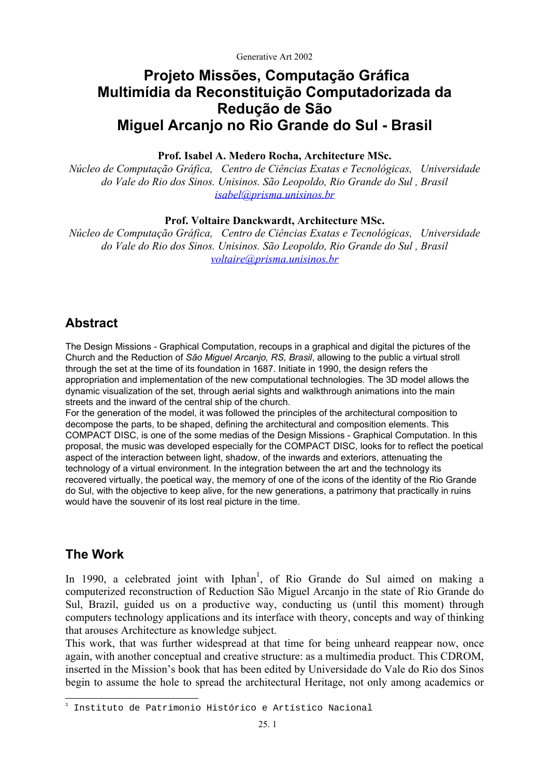# **Projeto Missões, Computação Gráfica Multimídia da Reconstituição Computadorizada da Redução de São Miguel Arcanjo no Rio Grande do Sul - Brasil**

### **Prof. Isabel A. Medero Rocha, Architecture MSc.**

*Núcleo de Computação Gráfica, Centro de Ciências Exatas e Tecnológicas, Universidade do Vale do Rio dos Sinos. Unisinos. São Leopoldo, Rio Grande do Sul , Brasil [isabel@prisma.unisinos.br](mailto:isabel@prisma.unisinos.br)*

#### **Prof. Voltaire Danckwardt, Architecture MSc.**

*Núcleo de Computação Gráfica, Centro de Ciências Exatas e Tecnológicas, Universidade do Vale do Rio dos Sinos. Unisinos. São Leopoldo, Rio Grande do Sul , Brasil [voltaire@prisma.unisinos.br](mailto:voltaire@prisma.unisinos.br)*

## **Abstract**

The Design Missions - Graphical Computation, recoups in a graphical and digital the pictures of the Church and the Reduction of *São Miguel Arcanjo, RS, Brasil*, allowing to the public a virtual stroll through the set at the time of its foundation in 1687. Initiate in 1990, the design refers the appropriation and implementation of the new computational technologies. The 3D model allows the dynamic visualization of the set, through aerial sights and walkthrough animations into the main streets and the inward of the central ship of the church.

For the generation of the model, it was followed the principles of the architectural composition to decompose the parts, to be shaped, defining the architectural and composition elements. This COMPACT DISC, is one of the some medias of the Design Missions - Graphical Computation. In this proposal, the music was developed especially for the COMPACT DISC, looks for to reflect the poetical aspect of the interaction between light, shadow, of the inwards and exteriors, attenuating the technology of a virtual environment. In the integration between the art and the technology its recovered virtually, the poetical way, the memory of one of the icons of the identity of the Rio Grande do Sul, with the objective to keep alive, for the new generations, a patrimony that practically in ruins would have the souvenir of its lost real picture in the time.

## **The Work**

In [1](#page-0-0)990, a celebrated joint with Iphan<sup>1</sup>, of Rio Grande do Sul aimed on making a computerized reconstruction of Reduction São Miguel Arcanjo in the state of Rio Grande do Sul, Brazil, guided us on a productive way, conducting us (until this moment) through computers technology applications and its interface with theory, concepts and way of thinking that arouses Architecture as knowledge subject.

This work, that was further widespread at that time for being unheard reappear now, once again, with another conceptual and creative structure: as a multimedia product. This CDROM, inserted in the Mission's book that has been edited by Universidade do Vale do Rio dos Sinos begin to assume the hole to spread the architectural Heritage, not only among academics or

<span id="page-0-0"></span> $\overline{a}$ 1 Instituto de Patrimonio Histórico e Artístico Nacional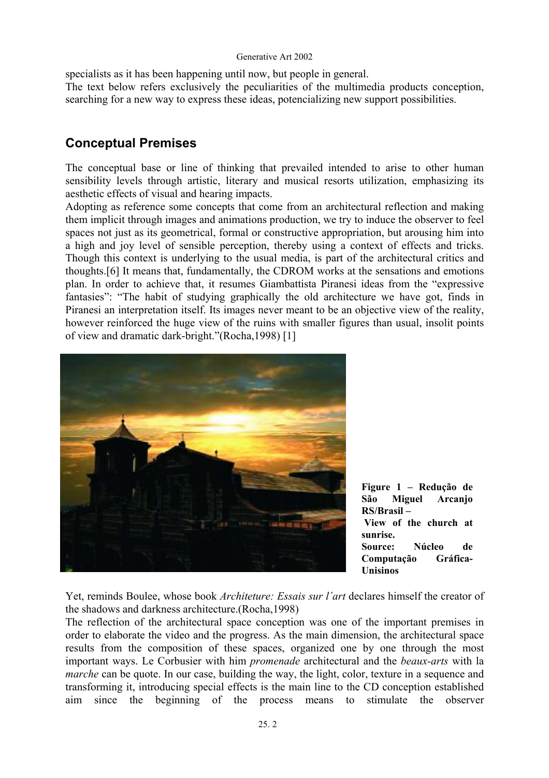specialists as it has been happening until now, but people in general. The text below refers exclusively the peculiarities of the multimedia products conception, searching for a new way to express these ideas, potencializing new support possibilities.

# **Conceptual Premises**

The conceptual base or line of thinking that prevailed intended to arise to other human sensibility levels through artistic, literary and musical resorts utilization, emphasizing its aesthetic effects of visual and hearing impacts.

Adopting as reference some concepts that come from an architectural reflection and making them implicit through images and animations production, we try to induce the observer to feel spaces not just as its geometrical, formal or constructive appropriation, but arousing him into a high and joy level of sensible perception, thereby using a context of effects and tricks. Though this context is underlying to the usual media, is part of the architectural critics and thoughts.[6] It means that, fundamentally, the CDROM works at the sensations and emotions plan. In order to achieve that, it resumes Giambattista Piranesi ideas from the "expressive fantasies": "The habit of studying graphically the old architecture we have got, finds in Piranesi an interpretation itself. Its images never meant to be an objective view of the reality, however reinforced the huge view of the ruins with smaller figures than usual, insolit points of view and dramatic dark-bright."(Rocha,1998) [1]



**Figure 1 – Redução de São Miguel Arcanjo RS/Brasil – View of the church at sunrise. Source: Núcleo de Computação Gráfica-Unisinos** 

Yet, reminds Boulee, whose book *Architeture: Essais sur l´art* declares himself the creator of the shadows and darkness architecture.(Rocha,1998)

The reflection of the architectural space conception was one of the important premises in order to elaborate the video and the progress. As the main dimension, the architectural space results from the composition of these spaces, organized one by one through the most important ways. Le Corbusier with him *promenade* architectural and the *beaux-arts* with la *marche* can be quote. In our case, building the way, the light, color, texture in a sequence and transforming it, introducing special effects is the main line to the CD conception established aim since the beginning of the process means to stimulate the observer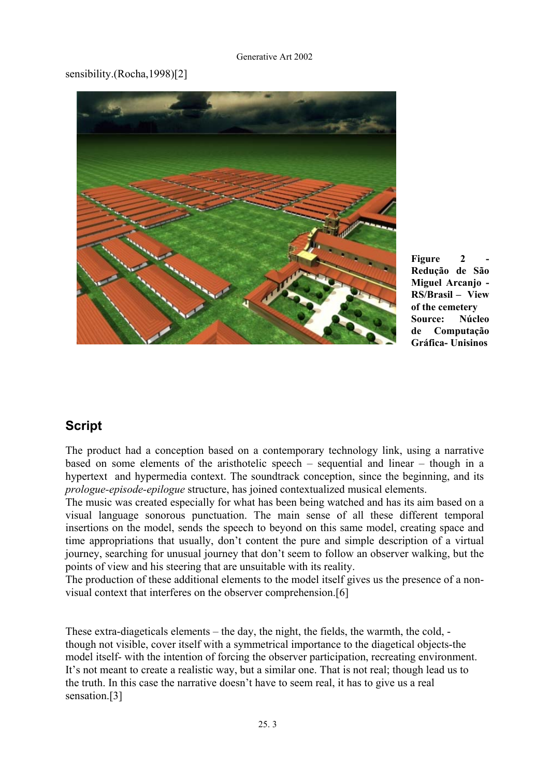### sensibility.(Rocha,1998)[2]



Figure 2 **Redução de São Miguel Arcanjo - RS/Brasil – View of the cemetery Source: Núcleo de Computação Gráfica- Unisinos**

## **Script**

The product had a conception based on a contemporary technology link, using a narrative based on some elements of the aristhotelic speech – sequential and linear – though in a hypertext and hypermedia context. The soundtrack conception, since the beginning, and its *prologue-episode-epilogue* structure, has joined contextualized musical elements.

The music was created especially for what has been being watched and has its aim based on a visual language sonorous punctuation. The main sense of all these different temporal insertions on the model, sends the speech to beyond on this same model, creating space and time appropriations that usually, don't content the pure and simple description of a virtual journey, searching for unusual journey that don't seem to follow an observer walking, but the points of view and his steering that are unsuitable with its reality.

The production of these additional elements to the model itself gives us the presence of a nonvisual context that interferes on the observer comprehension.[6]

These extra-diageticals elements – the day, the night, the fields, the warmth, the cold, though not visible, cover itself with a symmetrical importance to the diagetical objects-the model itself- with the intention of forcing the observer participation, recreating environment. It's not meant to create a realistic way, but a similar one. That is not real; though lead us to the truth. In this case the narrative doesn't have to seem real, it has to give us a real sensation.[3]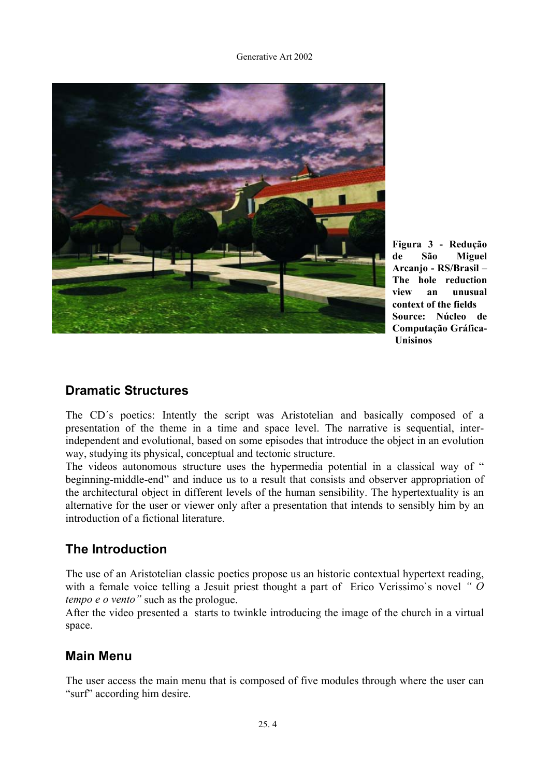

**Figura 3 - Redução de São Miguel Arcanjo - RS/Brasil – The hole reduction view an unusual context of the fields Source: Núcleo de Computação Gráfica- Unisinos** 

## **Dramatic Structures**

The CD´s poetics: Intently the script was Aristotelian and basically composed of a presentation of the theme in a time and space level. The narrative is sequential, interindependent and evolutional, based on some episodes that introduce the object in an evolution way, studying its physical, conceptual and tectonic structure.

The videos autonomous structure uses the hypermedia potential in a classical way of " beginning-middle-end" and induce us to a result that consists and observer appropriation of the architectural object in different levels of the human sensibility. The hypertextuality is an alternative for the user or viewer only after a presentation that intends to sensibly him by an introduction of a fictional literature.

# **The Introduction**

The use of an Aristotelian classic poetics propose us an historic contextual hypertext reading, with a female voice telling a Jesuit priest thought a part of Erico Verissimo`s novel *" O tempo e o vento"* such as the prologue.

After the video presented a starts to twinkle introducing the image of the church in a virtual space.

# **Main Menu**

The user access the main menu that is composed of five modules through where the user can "surf" according him desire.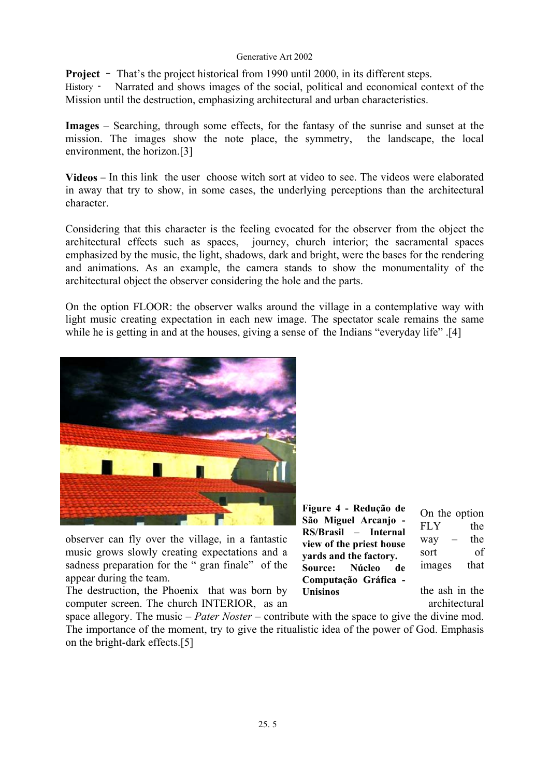**Project** – That's the project historical from 1990 until 2000, in its different steps.

History - Narrated and shows images of the social, political and economical context of the Mission until the destruction, emphasizing architectural and urban characteristics.

**Images** – Searching, through some effects, for the fantasy of the sunrise and sunset at the mission. The images show the note place, the symmetry, the landscape, the local environment, the horizon.[3]

**Videos** – In this link the user choose witch sort at video to see. The videos were elaborated in away that try to show, in some cases, the underlying perceptions than the architectural character.

Considering that this character is the feeling evocated for the observer from the object the architectural effects such as spaces, journey, church interior; the sacramental spaces emphasized by the music, the light, shadows, dark and bright, were the bases for the rendering and animations. As an example, the camera stands to show the monumentality of the architectural object the observer considering the hole and the parts.

On the option FLOOR: the observer walks around the village in a contemplative way with light music creating expectation in each new image. The spectator scale remains the same while he is getting in and at the houses, giving a sense of the Indians "everyday life" .[4]



observer can fly over the village, in a fantastic  $\frac{R(S)D}{s}$  file wise have way – the music grows slowly creating expectations and a sort of sort of sadness preparation for the " gran finale" of the  $\frac{1}{\sqrt{2}}$  Source: Núcleo de images that appear during the team.

The destruction, the Phoenix that was born by Unisinos the ash in the computer screen. The church INTERIOR, as an architectural architectural

**Figure 4 - Redução de São Miguel Arcanjo - RS/Brasil – Internal view of the priest house yards and the factory.**   $Source:$ **Computação Gráfica - Unisinos** 

On the option FLY the

space allegory. The music – *Pater Noster* – contribute with the space to give the divine mod. The importance of the moment, try to give the ritualistic idea of the power of God. Emphasis on the bright-dark effects.[5]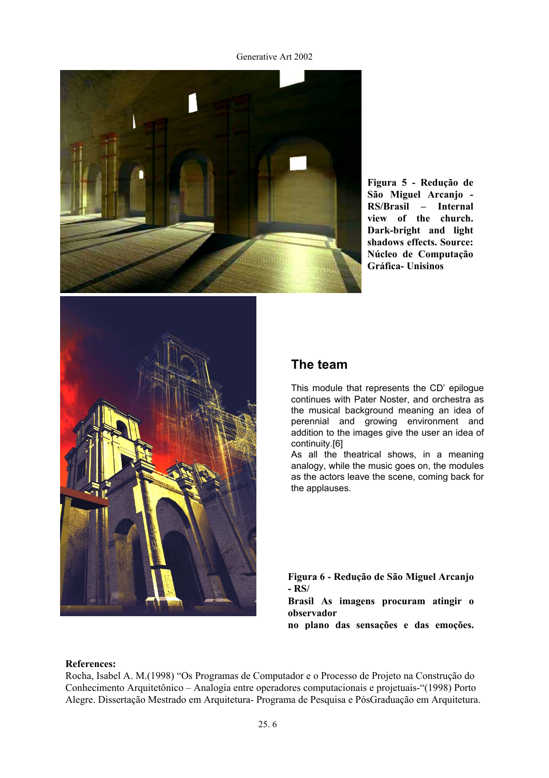

**Figura 5 - Redução de São Miguel Arcanjo - RS/Brasil – Internal view of the church. Dark-bright and light shadows effects. Source: Núcleo de Computação Gráfica- Unisinos** 



## **The team**

This module that represents the CD' epilogue continues with Pater Noster, and orchestra as the musical background meaning an idea of perennial and growing environment and addition to the images give the user an idea of continuity.[6]

As all the theatrical shows, in a meaning analogy, while the music goes on, the modules as the actors leave the scene, coming back for the applauses.

**Figura 6 - Redução de São Miguel Arcanjo - RS/** 

**Brasil As imagens procuram atingir o observador** 

**no plano das sensações e das emoções.** 

#### **References:**

Rocha, Isabel A. M.(1998) "Os Programas de Computador e o Processo de Projeto na Construção do Conhecimento Arquitetônico – Analogia entre operadores computacionais e projetuais-"(1998) Porto Alegre. Dissertação Mestrado em Arquitetura- Programa de Pesquisa e PósGraduação em Arquitetura.